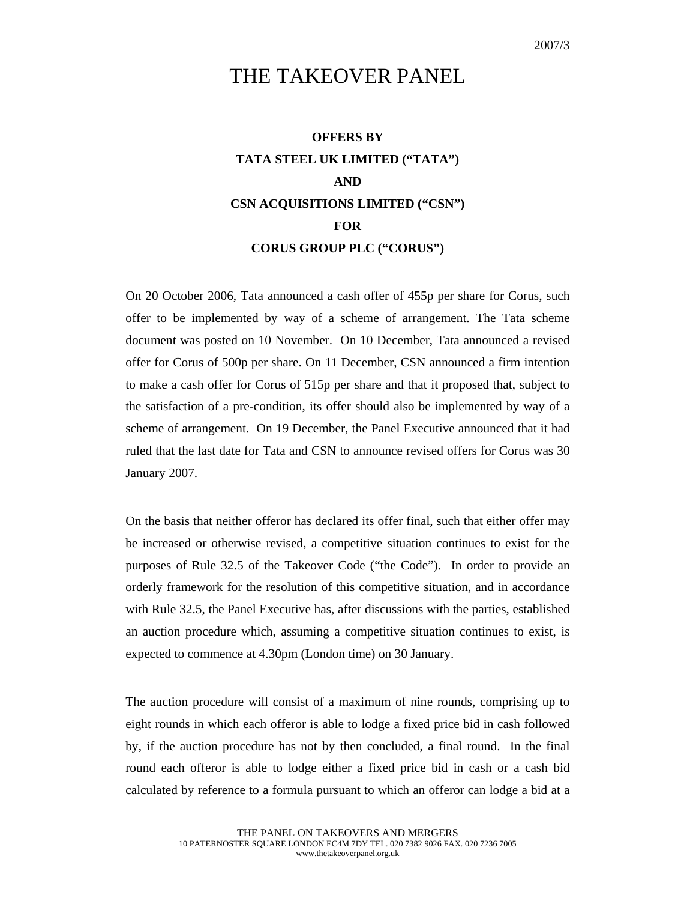## THE TAKEOVER PANEL

## **OFFERS BY TATA STEEL UK LIMITED ("TATA") AND CSN ACQUISITIONS LIMITED ("CSN") FOR CORUS GROUP PLC ("CORUS")**

On 20 October 2006, Tata announced a cash offer of 455p per share for Corus, such offer to be implemented by way of a scheme of arrangement. The Tata scheme document was posted on 10 November. On 10 December, Tata announced a revised offer for Corus of 500p per share. On 11 December, CSN announced a firm intention to make a cash offer for Corus of 515p per share and that it proposed that, subject to the satisfaction of a pre-condition, its offer should also be implemented by way of a scheme of arrangement. On 19 December, the Panel Executive announced that it had ruled that the last date for Tata and CSN to announce revised offers for Corus was 30 January 2007.

On the basis that neither offeror has declared its offer final, such that either offer may be increased or otherwise revised, a competitive situation continues to exist for the purposes of Rule 32.5 of the Takeover Code ("the Code"). In order to provide an orderly framework for the resolution of this competitive situation, and in accordance with Rule 32.5, the Panel Executive has, after discussions with the parties, established an auction procedure which, assuming a competitive situation continues to exist, is expected to commence at 4.30pm (London time) on 30 January.

The auction procedure will consist of a maximum of nine rounds, comprising up to eight rounds in which each offeror is able to lodge a fixed price bid in cash followed by, if the auction procedure has not by then concluded, a final round. In the final round each offeror is able to lodge either a fixed price bid in cash or a cash bid calculated by reference to a formula pursuant to which an offeror can lodge a bid at a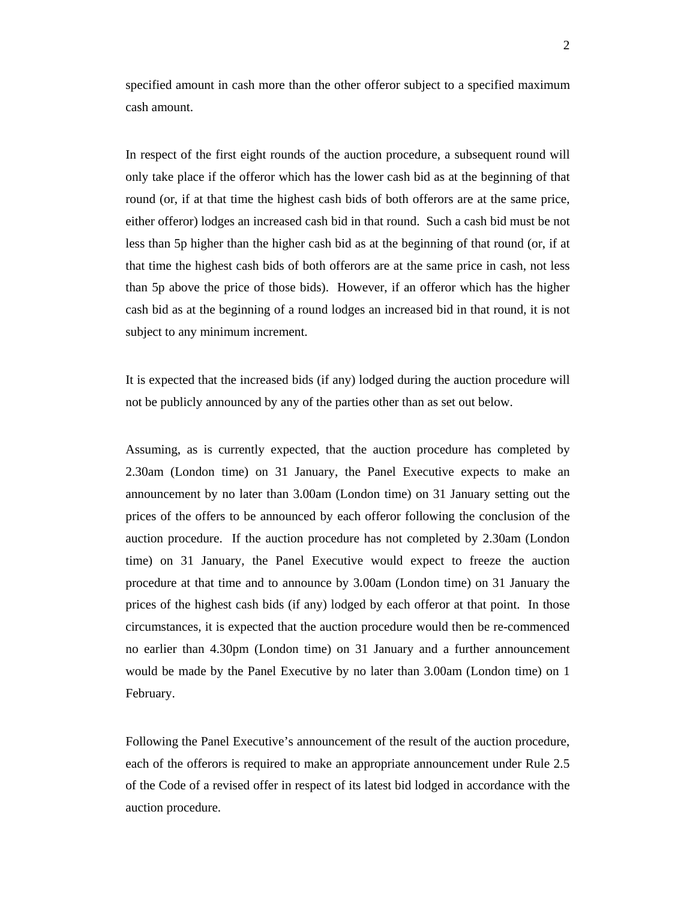specified amount in cash more than the other offeror subject to a specified maximum cash amount.

In respect of the first eight rounds of the auction procedure, a subsequent round will only take place if the offeror which has the lower cash bid as at the beginning of that round (or, if at that time the highest cash bids of both offerors are at the same price, either offeror) lodges an increased cash bid in that round. Such a cash bid must be not less than 5p higher than the higher cash bid as at the beginning of that round (or, if at that time the highest cash bids of both offerors are at the same price in cash, not less than 5p above the price of those bids). However, if an offeror which has the higher cash bid as at the beginning of a round lodges an increased bid in that round, it is not subject to any minimum increment.

It is expected that the increased bids (if any) lodged during the auction procedure will not be publicly announced by any of the parties other than as set out below.

Assuming, as is currently expected, that the auction procedure has completed by 2.30am (London time) on 31 January, the Panel Executive expects to make an announcement by no later than 3.00am (London time) on 31 January setting out the prices of the offers to be announced by each offeror following the conclusion of the auction procedure. If the auction procedure has not completed by 2.30am (London time) on 31 January, the Panel Executive would expect to freeze the auction procedure at that time and to announce by 3.00am (London time) on 31 January the prices of the highest cash bids (if any) lodged by each offeror at that point. In those circumstances, it is expected that the auction procedure would then be re-commenced no earlier than 4.30pm (London time) on 31 January and a further announcement would be made by the Panel Executive by no later than 3.00am (London time) on 1 February.

Following the Panel Executive's announcement of the result of the auction procedure, each of the offerors is required to make an appropriate announcement under Rule 2.5 of the Code of a revised offer in respect of its latest bid lodged in accordance with the auction procedure.